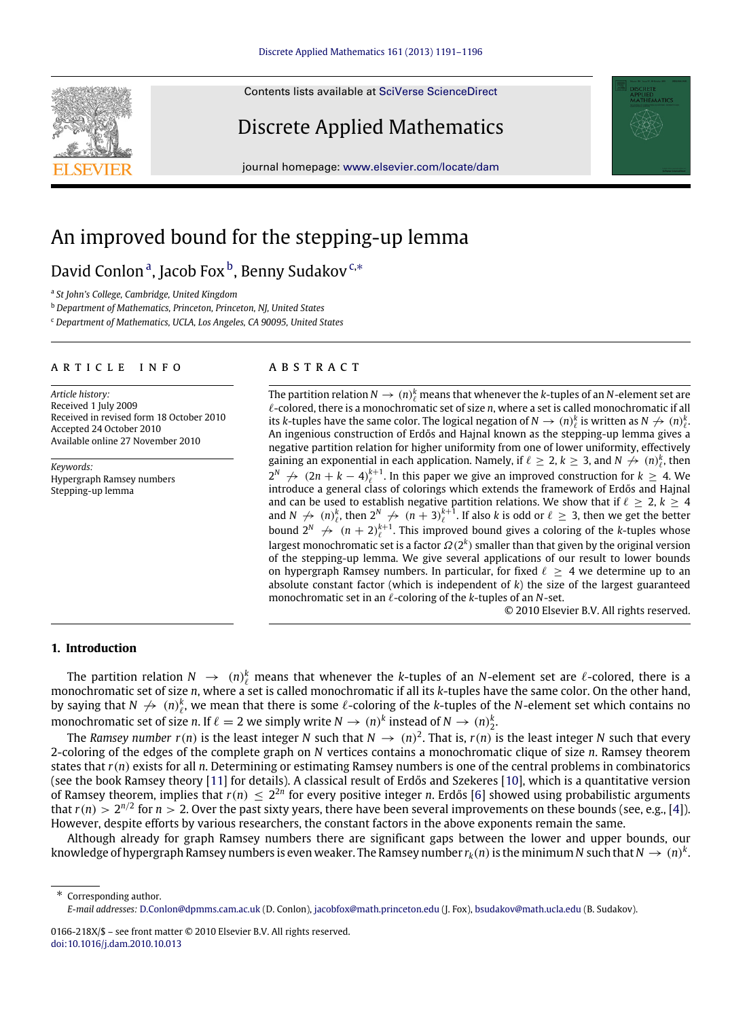Contents lists available at [SciVerse ScienceDirect](http://www.elsevier.com/locate/dam)

# Discrete Applied Mathematics

journal homepage: [www.elsevier.com/locate/dam](http://www.elsevier.com/locate/dam)

# An improved bound for the stepping-up lemma

# D[a](#page-0-0)vid Conlon<sup>a</sup>, Jaco[b](#page-0-1) Fox <sup>b</sup>, Benny Sudakov<sup>[c,](#page-0-2)\*</sup>

<span id="page-0-0"></span>a *St John's College, Cambridge, United Kingdom*

<span id="page-0-1"></span><sup>b</sup> *Department of Mathematics, Princeton, Princeton, NJ, United States*

<span id="page-0-2"></span><sup>c</sup> *Department of Mathematics, UCLA, Los Angeles, CA 90095, United States*

### a r t i c l e i n f o

*Article history:* Received 1 July 2009 Received in revised form 18 October 2010 Accepted 24 October 2010 Available online 27 November 2010

*Keywords:* Hypergraph Ramsey numbers Stepping-up lemma

# a b s t r a c t

The partition relation  $N \to (n)_{\ell}^k$  means that whenever the *k*-tuples of an *N*-element set are ℓ-colored, there is a monochromatic set of size *n*, where a set is called monochromatic if all its *k*-tuples have the same color. The logical negation of  $N \to (n)_{\ell}^{k}$  is written as  $N \not\to (n)_{\ell}^{k}$ . An ingenious construction of Erdős and Hajnal known as the stepping-up lemma gives a negative partition relation for higher uniformity from one of lower uniformity, effectively gaining an exponential in each application. Namely, if  $\ell \geq 2$ ,  $k \geq 3$ , and  $N \nrightarrow (n)_{\ell}^k$ , then  $2^N \nrightarrow (2n + k - 4)_{\ell}^{k+1}$ . In this paper we give an improved construction for  $k \geq 4$ . We introduce a general class of colorings which extends the framework of Erdős and Hajnal and can be used to establish negative partition relations. We show that if  $\ell \geq 2$ ,  $k \geq 4$ and  $N \nrightarrow (n)_\ell^k$ , then  $2^N \nrightarrow (n+3)_\ell^{k+1}$ . If also *k* is odd or  $\ell \geq 3$ , then we get the better bound  $2^N \nrightarrow (n+2)^{k+1}_{\ell}$ . This improved bound gives a coloring of the *k*-tuples whose largest monochromatic set is a factor  $\Omega(2^k)$  smaller than that given by the original version of the stepping-up lemma. We give several applications of our result to lower bounds on hypergraph Ramsey numbers. In particular, for fixed  $\ell \geq 4$  we determine up to an absolute constant factor (which is independent of *k*) the size of the largest guaranteed monochromatic set in an ℓ-coloring of the *k*-tuples of an *N*-set.

© 2010 Elsevier B.V. All rights reserved.

# **1. Introduction**

The partition relation  $N \to (n)_{\ell}^k$  means that whenever the *k*-tuples of an *N*-element set are  $\ell$ -colored, there is a monochromatic set of size *n*, where a set is called monochromatic if all its *k*-tuples have the same color. On the other hand, by saying that  $N \nrightarrow (n)_\ell^k$ , we mean that there is some  $\ell$ -coloring of the *k*-tuples of the *N*-element set which contains no monochromatic set of size *n*. If  $\ell = 2$  we simply write  $N \to (n)^k$  instead of  $N \to (n)^k_2$ .

The *Ramsey number*  $r(n)$  is the least integer *N* such that  $N \to (n)^2$ . That is,  $r(n)$  is the least integer *N* such that every 2-coloring of the edges of the complete graph on *N* vertices contains a monochromatic clique of size *n*. Ramsey theorem states that *r*(*n*) exists for all *n*. Determining or estimating Ramsey numbers is one of the central problems in combinatorics (see the book Ramsey theory [\[11\]](#page-5-0) for details). A classical result of Erdős and Szekeres [\[10\]](#page-5-1), which is a quantitative version of Ramsey theorem, implies that  $r(n) \leq 2^{2n}$  for every positive integer *n*. Erdős [\[6\]](#page-5-2) showed using probabilistic arguments that  $r(n) > 2^{n/2}$  for  $n > 2$ . Over the past sixty years, there have been several improvements on these bounds (see, e.g., [\[4\]](#page-4-0)). However, despite efforts by various researchers, the constant factors in the above exponents remain the same.

Although already for graph Ramsey numbers there are significant gaps between the lower and upper bounds, our knowledge of hypergraph Ramsey numbers is even weaker. The Ramsey number  $r_k(n)$  is the minimum  $N$  such that  $N\to (n)^k.$ 

<span id="page-0-3"></span>Corresponding author. *E-mail addresses:* [D.Conlon@dpmms.cam.ac.uk](mailto:D.Conlon@dpmms.cam.ac.uk) (D. Conlon), [jacobfox@math.princeton.edu](mailto:jacobfox@math.princeton.edu) (J. Fox), [bsudakov@math.ucla.edu](mailto:bsudakov@math.ucla.edu) (B. Sudakov).





<sup>0166-218</sup>X/\$ – see front matter © 2010 Elsevier B.V. All rights reserved. [doi:10.1016/j.dam.2010.10.013](http://dx.doi.org/10.1016/j.dam.2010.10.013)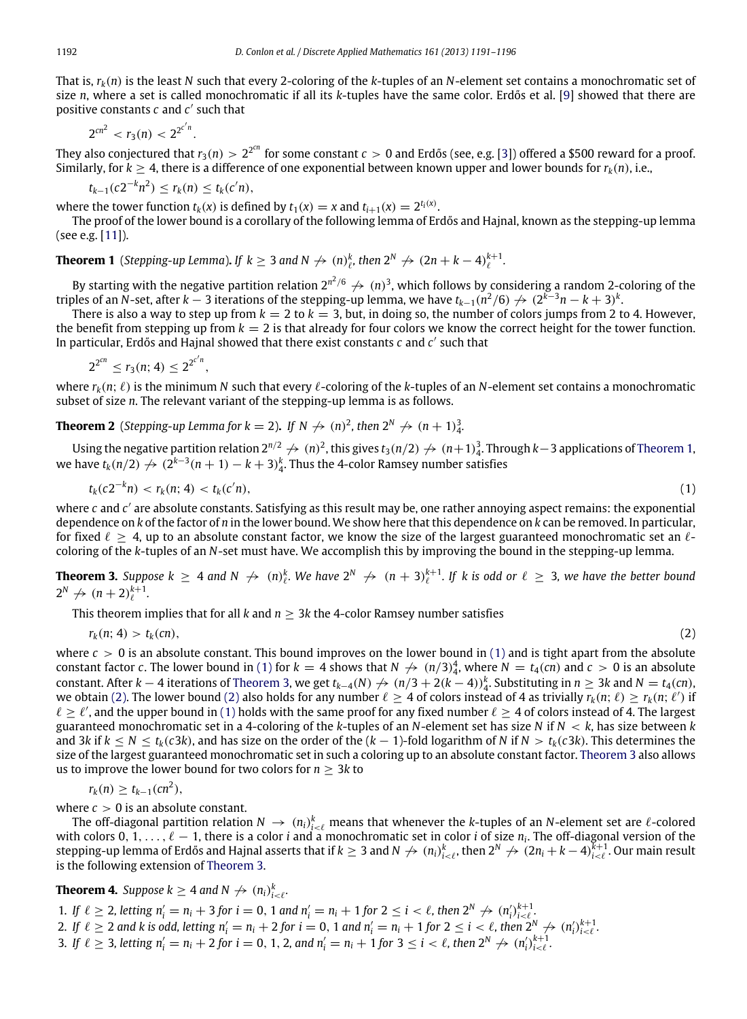That is, *rk*(*n*) is the least *N* such that every 2-coloring of the *k*-tuples of an *N*-element set contains a monochromatic set of size *n*, where a set is called monochromatic if all its *k*-tuples have the same color. Erdős et al. [\[9\]](#page-5-3) showed that there are positive constants *c* and *c* ′ such that

$$
2^{cn^2} < r_3(n) < 2^{2^{c'n}}.
$$

They also conjectured that  $r_3(n)>2^{2^{cn}}$  for some constant  $c>0$  and Erdős (see, e.g. [\[3\]](#page-4-1)) offered a \$500 reward for a proof. Similarly, for  $k \geq 4$ , there is a difference of one exponential between known upper and lower bounds for  $r_k(n)$ , i.e.,

 $t_{k-1}(c2^{-k}n^2) \leq r_k(n) \leq t_k(c'n),$ 

where the tower function  $t_k(x)$  is defined by  $t_1(x) = x$  and  $t_{i+1}(x) = 2^{t_i(x)}$ .

The proof of the lower bound is a corollary of the following lemma of Erdős and Hajnal, known as the stepping-up lemma (see e.g. [\[11\]](#page-5-0)).

<span id="page-1-0"></span>**Theorem 1** (*Stepping-up Lemma*). If  $k \geq 3$  and  $N \nrightarrow (n)_{\ell}^k$ , then  $2^N \nrightarrow (2n + k - 4)_{\ell}^{k+1}$ .

By starting with the negative partition relation 2<sup>n<sup>2</sup>/6</sup>  $\not\to$   $(n)^3$ , which follows by considering a random 2-coloring of the triples of an *N*-set, after *k* − 3 iterations of the stepping-up lemma, we have  $t_{k-1}$ ( $n^2/6$ )  $\to (2^{k-3}n - k + 3)^k$ .

There is also a way to step up from  $k = 2$  to  $k = 3$ , but, in doing so, the number of colors jumps from 2 to 4. However, the benefit from stepping up from  $k = 2$  is that already for four colors we know the correct height for the tower function. In particular, Erdős and Hajnal showed that there exist constants *c* and *c* ′ such that

$$
2^{2^{cn}} \leq r_3(n; 4) \leq 2^{2^{c'n}},
$$

where  $r_k(n; \ell)$  is the minimum N such that every  $\ell$ -coloring of the k-tuples of an N-element set contains a monochromatic subset of size *n*. The relevant variant of the stepping-up lemma is as follows.

**Theorem 2** (*Stepping-up Lemma for k* = 2). If  $N \nrightarrow (n)^2$ , then  $2^N \nrightarrow (n+1)^3_4$ .

Using the negative partition relation  $2^{n/2} \not\to (n)^2$ , this gives  $t_3(n/2) \not\to (n+1)_4^3$ . Through  $k-3$  applications of [Theorem 1,](#page-1-0) we have  $t_k(n/2) \nrightarrow (2^{k-3}(n+1) - k + 3)_4^k$ . Thus the 4-color Ramsey number satisfies

$$
t_k(c2^{-k}n) < r_k(n; 4) < t_k(c'n), \tag{1}
$$

where *c* and *c'* are absolute constants. Satisfying as this result may be, one rather annoying aspect remains: the exponential dependence on *k* of the factor of *n* in the lower bound. We show here that this dependence on *k* can be removed. In particular, for fixed  $\ell \geq 4$ , up to an absolute constant factor, we know the size of the largest guaranteed monochromatic set an  $\ell$ coloring of the *k*-tuples of an *N*-set must have. We accomplish this by improving the bound in the stepping-up lemma.

<span id="page-1-2"></span>**Theorem 3.** Suppose  $k \geq 4$  and  $N \nrightarrow (n)_\ell^k$ . We have  $2^N \nrightarrow (n+3)_\ell^{k+1}$ . If k is odd or  $\ell \geq 3$ , we have the better bound  $2^N \nrightarrow (n+2)_{\ell}^{k+1}$ .

This theorem implies that for all  $k$  and  $n > 3k$  the 4-color Ramsey number satisfies

$$
r_k(n; 4) > t_k(cn), \tag{2}
$$

<span id="page-1-3"></span><span id="page-1-1"></span>

where  $c > 0$  is an absolute constant. This bound improves on the lower bound in [\(1\)](#page-1-1) and is tight apart from the absolute constant factor *c*. The lower bound in [\(1\)](#page-1-1) for  $k = 4$  shows that  $N \nrightarrow (n/3)_4^4$ , where  $N = t_4$ (*cn*) and  $c > 0$  is an absolute constant. After *k* − 4 iterations of [Theorem 3,](#page-1-2) we get  $t_{k-4}(N) \nrightarrow (n/3 + 2(k-4))_4^k$ . Substituting in  $n \geq 3k$  and  $N = t_4$ (*cn*), we obtain [\(2\).](#page-1-3) The lower bound [\(2\)](#page-1-3) also holds for any number  $\ell \geq 4$  of colors instead of 4 as trivially  $r_k(n;\ell) \geq r_k(n;\ell')$  if  $\ell \geq \ell'$ , and the upper bound in [\(1\)](#page-1-1) holds with the same proof for any fixed number  $\ell \geq 4$  of colors instead of 4. The largest guaranteed monochromatic set in a 4-coloring of the *k*-tuples of an *N*-element set has size *N* if *N* < *k*, has size between *k* and 3*k* if  $k < N < t_k(c3k)$ , and has size on the order of the  $(k-1)$ -fold logarithm of *N* if  $N > t_k(c3k)$ . This determines the size of the largest guaranteed monochromatic set in such a coloring up to an absolute constant factor. [Theorem 3](#page-1-2) also allows us to improve the lower bound for two colors for *n* ≥ 3*k* to

$$
r_k(n) \ge t_{k-1}(cn^2),
$$

where  $c > 0$  is an absolute constant.

The off-diagonal partition relation  $N \to (n_i)_{i<\ell}^k$  means that whenever the *k*-tuples of an *N*-element set are  $\ell$ -colored with colors 0, 1, . . . ,  $\ell-1$ , there is a color *i* and a monochromatic set in color *i* of size  $n_i$ . The off-diagonal version of the stepping-up lemma of Erdős and Hajnal asserts that if  $k\geq 3$  and  $N\not\to (n_i)_{i<\ell}^k$ , then  $2^N\not\to (2n_i+k-4)_{i<\ell}^{k+1}.$  Our main result is the following extension of [Theorem 3.](#page-1-2)

<span id="page-1-4"></span>**Theorem 4.** Suppose  $k \geq 4$  and  $N \nrightarrow (n_i)_{i < \ell}^k$ .

1. If  $\ell \geq 2$ , letting  $n'_i = n_i + 3$  for  $i = 0, 1$  and  $n'_i = n_i + 1$  for  $2 \leq i < \ell$ , then  $2^N \nrightarrow (n'_i)_{i < \ell}^{k+1}$ .

- 2. If  $\ell \geq 2$  and k is odd, letting  $n'_i = n_i + 2$  for  $i = 0, 1$  and  $n'_i = n_i + 1$  for  $2 \leq i < \ell$ , then  $2^N \nrightarrow (n'_i)_{i < \ell}^{k+1}$ .
- 3. If  $\ell \geq 3$ , letting  $n'_i = n_i + 2$  for  $i = 0, 1, 2$ , and  $n'_i = n_i + 1$  for  $3 \leq i < \ell$ , then  $2^N \not\rightarrow (n'_i)_{i < \ell}^{k+1}$ .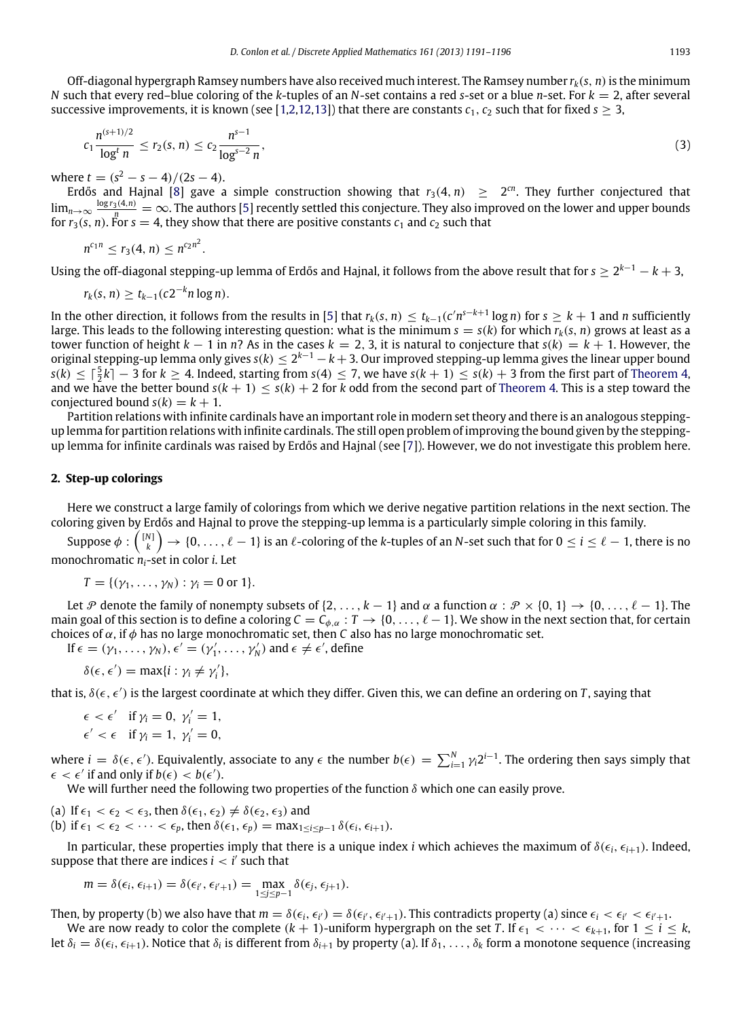Off-diagonal hypergraph Ramsey numbers have also received much interest. The Ramsey number *rk*(*s*, *n*)is the minimum *N* such that every red–blue coloring of the *k*-tuples of an *N*-set contains a red *s*-set or a blue *n*-set. For *k* = 2, after several successive improvements, it is known (see [\[1,](#page-4-2)[2](#page-4-3)[,12,](#page-5-4)[13\]](#page-5-5)) that there are constants  $c_1$ ,  $c_2$  such that for fixed  $s \geq 3$ ,

$$
c_1 \frac{n^{(s+1)/2}}{\log^t n} \le r_2(s, n) \le c_2 \frac{n^{s-1}}{\log^{s-2} n},\tag{3}
$$

where  $t = (s^2 - s - 4)/(2s - 4)$ .

Erdős and Hajnal [\[8\]](#page-5-6) gave a simple construction showing that  $r_3(4, n) \geq 2^{cn}$ . They further conjectured that  $\lim_{n\to\infty}\frac{\log r_3(4,n)}{n}=\infty$ . The authors [\[5\]](#page-5-7) recently settled this conjecture. They also improved on the lower and upper bounds for  $r_3(s, n)$ . For  $s = 4$ , they show that there are positive constants  $c_1$  and  $c_2$  such that

$$
n^{c_1 n} \leq r_3(4, n) \leq n^{c_2 n^2}
$$

Using the off-diagonal stepping-up lemma of Erdős and Hajnal, it follows from the above result that for  $s\geq 2^{k-1}-k+3,$ 

$$
r_k(s, n) \ge t_{k-1}(c2^{-k}n \log n).
$$

.

In the other direction, it follows from the results in [\[5\]](#page-5-7) that  $r_k(s, n) \le t_{k-1}(c'n^{s-k+1}\log n)$  for  $s \ge k+1$  and n sufficiently large. This leads to the following interesting question: what is the minimum  $s = s(k)$  for which  $r_k(s, n)$  grows at least as a tower function of height  $k - 1$  in  $n$ ? As in the cases  $k = 2, 3$ , it is natural to conjecture that  $s(k) = k + 1$ . However, the original stepping-up lemma only gives *s*(*k*) ≤ 2 *<sup>k</sup>*−<sup>1</sup> − *k* + 3. Our improved stepping-up lemma gives the linear upper bound *s*(*k*) ≤  $\lceil \frac{5}{2}k \rceil - 3$  for  $k \geq 4$ . Indeed, starting from *s*(4) ≤ 7, we have *s*(*k* + 1) ≤ *s*(*k*) + 3 from the first part of [Theorem 4,](#page-1-4) and we have the better bound  $s(k + 1) \leq s(k) + 2$  for *k* odd from the second part of [Theorem 4.](#page-1-4) This is a step toward the conjectured bound  $s(k) = k + 1$ .

Partition relations with infinite cardinals have an important role in modern set theory and there is an analogous steppingup lemma for partition relations with infinite cardinals. The still open problem of improving the bound given by the steppingup lemma for infinite cardinals was raised by Erdős and Hajnal (see [\[7\]](#page-5-8)). However, we do not investigate this problem here.

## **2. Step-up colorings**

Here we construct a large family of colorings from which we derive negative partition relations in the next section. The coloring given by Erdős and Hajnal to prove the stepping-up lemma is a particularly simple coloring in this family.

Suppose  $\phi:{N\choose k}\to\{0,\ldots,\ell-1\}$  is an  $\ell$ -coloring of the  $k$ -tuples of an  $N$ -set such that for  $0\leq i\leq \ell-1,$  there is no monochromatic *ni*-set in color *i*. Let

$$
T = \{(\gamma_1,\ldots,\gamma_N): \gamma_i = 0 \text{ or } 1\}.
$$

Let P denote the family of nonempty subsets of  $\{2, \ldots, k-1\}$  and  $\alpha$  a function  $\alpha : \mathcal{P} \times \{0, 1\} \to \{0, \ldots, \ell-1\}$ . The main goal of this section is to define a coloring  $C = C_{\phi,\alpha}: T \to \{0, \ldots, \ell-1\}$ . We show in the next section that, for certain choices of  $\alpha$ , if  $\phi$  has no large monochromatic set, then *C* also has no large monochromatic set.

If  $\epsilon = (\gamma_1, \ldots, \gamma_N)$ ,  $\epsilon' = (\gamma'_1, \ldots, \gamma'_N)$  and  $\epsilon \neq \epsilon'$ , define

$$
\delta(\epsilon,\epsilon') = \max\{i : \gamma_i \neq \gamma'_i\},\
$$

that is,  $\delta(\epsilon, \epsilon')$  is the largest coordinate at which they differ. Given this, we can define an ordering on *T*, saying that

$$
\epsilon < \epsilon' \quad \text{if } \gamma_i = 0, \ \gamma'_i = 1, \n\epsilon' < \epsilon \quad \text{if } \gamma_i = 1, \ \gamma'_i = 0,
$$

where  $i = \delta(\epsilon, \epsilon')$ . Equivalently, associate to any  $\epsilon$  the number  $b(\epsilon) = \sum_{i=1}^{N} \gamma_i 2^{i-1}$ . The ordering then says simply that  $\epsilon < \epsilon'$  if and only if  $b(\epsilon) < b(\epsilon')$ .

We will further need the following two properties of the function  $\delta$  which one can easily prove.

(a) If  $\epsilon_1 < \epsilon_2 < \epsilon_3$ , then  $\delta(\epsilon_1, \epsilon_2) \neq \delta(\epsilon_2, \epsilon_3)$  and (b) if  $\epsilon_1 < \epsilon_2 < \cdots < \epsilon_p$ , then  $\delta(\epsilon_1, \epsilon_p) = \max_{1 \le i \le p-1} \delta(\epsilon_i, \epsilon_{i+1}).$ 

In particular, these properties imply that there is a unique index *i* which achieves the maximum of  $\delta(\epsilon_i, \epsilon_{i+1})$ . Indeed, suppose that there are indices  $i < i'$  such that

$$
m = \delta(\epsilon_i, \epsilon_{i+1}) = \delta(\epsilon_{i'}, \epsilon_{i'+1}) = \max_{1 \le j \le p-1} \delta(\epsilon_j, \epsilon_{j+1}).
$$

Then, by property (b) we also have that  $m = \delta(\epsilon_i, \epsilon_{i'}) = \delta(\epsilon_{i'}, \epsilon_{i'+1})$ . This contradicts property (a) since  $\epsilon_i < \epsilon_{i'} < \epsilon_{i'+1}$ .

We are now ready to color the complete  $(k + 1)$ -uniform hypergraph on the set *T*. If  $\epsilon_1 < \cdots < \epsilon_{k+1}$ , for  $1 \le i \le k$ , let  $\delta_i = \delta(\epsilon_i, \epsilon_{i+1})$ . Notice that  $\delta_i$  is different from  $\delta_{i+1}$  by property (a). If  $\delta_1, \ldots, \delta_k$  form a monotone sequence (increasing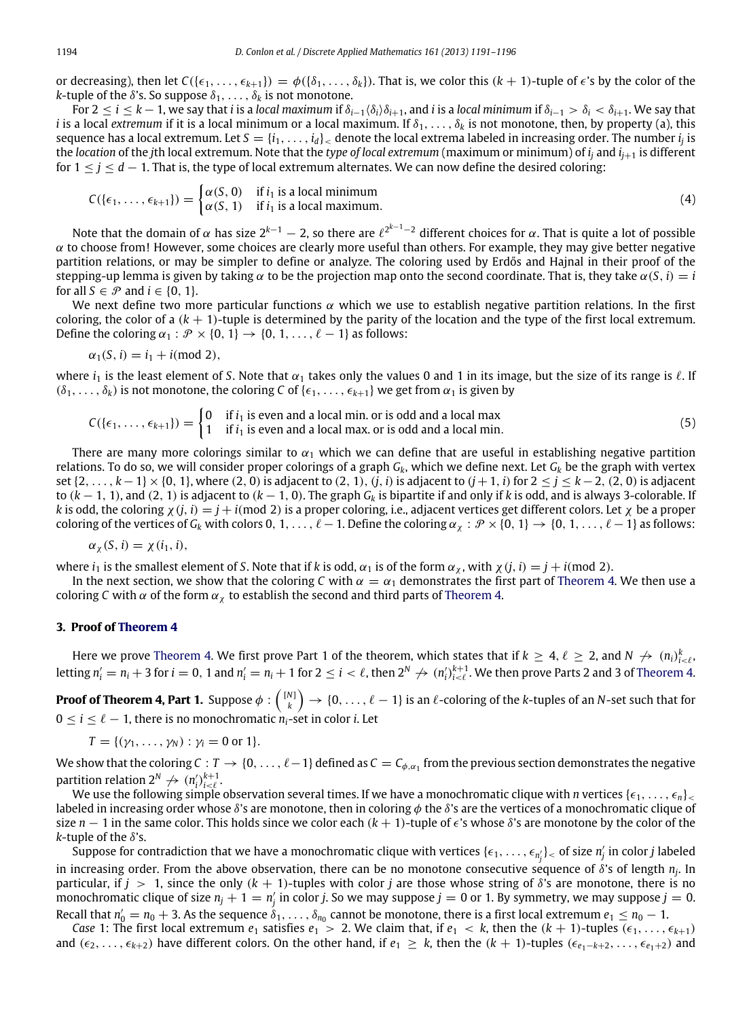or decreasing), then let  $C(\{\epsilon_1, \ldots, \epsilon_{k+1}\}) = \phi(\{\delta_1, \ldots, \delta_k\})$ . That is, we color this  $(k+1)$ -tuple of  $\epsilon$ 's by the color of the *k*-tuple of the  $\delta$ 's. So suppose  $\delta_1, \ldots, \delta_k$  is not monotone.

For  $2 \le i \le k-1$ , we say that *i* is a *local maximum* if  $\delta_{i-1}\langle\delta_i\rangle\delta_{i+1}$ , and *i* is a *local minimum* if  $\delta_{i-1} > \delta_i < \delta_{i+1}$ . We say that *i* is a local *extremum* if it is a local minimum or a local maximum. If  $\delta_1, \ldots, \delta_k$  is not monotone, then, by property (a), this sequence has a local extremum. Let  $S=\{i_1,\dots,i_d\}_<$  denote the local extrema labeled in increasing order. The number  $i_j$  is the *location* of the *j*th local extremum. Note that the *type of local extremum* (maximum or minimum) of *i<sup>j</sup>* and *ij*+<sup>1</sup> is different for  $1 \le j \le d - 1$ . That is, the type of local extremum alternates. We can now define the desired coloring:

$$
C(\{\epsilon_1, \ldots, \epsilon_{k+1}\}) = \begin{cases} \alpha(S, 0) & \text{if } i_1 \text{ is a local minimum} \\ \alpha(S, 1) & \text{if } i_1 \text{ is a local maximum.} \end{cases}
$$
(4)

Note that the domain of α has size 2<sup>k−1</sup> — 2, so there are  $\ell^{2^{k-1}-2}$  different choices for α. That is quite a lot of possible  $\alpha$  to choose from! However, some choices are clearly more useful than others. For example, they may give better negative partition relations, or may be simpler to define or analyze. The coloring used by Erdős and Hajnal in their proof of the stepping-up lemma is given by taking  $\alpha$  to be the projection map onto the second coordinate. That is, they take  $\alpha(S, i) = i$ for all  $S \in \mathcal{P}$  and  $i \in \{0, 1\}$ .

We next define two more particular functions  $\alpha$  which we use to establish negative partition relations. In the first coloring, the color of a  $(k + 1)$ -tuple is determined by the parity of the location and the type of the first local extremum. Define the coloring  $\alpha_1 : \mathcal{P} \times \{0, 1\} \rightarrow \{0, 1, \ldots, \ell - 1\}$  as follows:

$$
\alpha_1(S, i) = i_1 + i \pmod{2},
$$

where  $i_1$  is the least element of *S*. Note that  $\alpha_1$  takes only the values 0 and 1 in its image, but the size of its range is  $\ell$ . If  $(\delta_1, \ldots, \delta_k)$  is not monotone, the coloring *C* of  $\{\epsilon_1, \ldots, \epsilon_{k+1}\}\$  we get from  $\alpha_1$  is given by

<span id="page-3-0"></span>
$$
C(\{\epsilon_1, \ldots, \epsilon_{k+1}\}) = \begin{cases} 0 & \text{if } i_1 \text{ is even and a local min. or is odd and a local max} \\ 1 & \text{if } i_1 \text{ is even and a local max. or is odd and a local min.} \end{cases}
$$
(5)

There are many more colorings similar to  $\alpha_1$  which we can define that are useful in establishing negative partition relations. To do so, we will consider proper colorings of a graph *Gk*, which we define next. Let *G<sup>k</sup>* be the graph with vertex set {2, . . . , *k*−1} × {0, 1}, where (2, 0) is adjacent to (2, 1), (*j*, *i*) is adjacent to (*j*+1, *i*) for 2 ≤ *j* ≤ *k*−2, (2, 0) is adjacent to (*k* − 1, 1), and (2, 1) is adjacent to (*k* − 1, 0). The graph *G<sup>k</sup>* is bipartite if and only if *k* is odd, and is always 3-colorable. If *k* is odd, the coloring  $\chi(j, i) = j + i$ (mod 2) is a proper coloring, i.e., adjacent vertices get different colors. Let  $\chi$  be a proper coloring of the vertices of  $G_k$  with colors 0, 1, . . . ,  $\ell-1$ . Define the coloring  $\alpha_\chi : \mathcal{P} \times \{0, 1\} \to \{0, 1, \ldots, \ell-1\}$  as follows:

$$
\alpha_{\chi}(S, i) = \chi(i_1, i),
$$

where  $i_1$  is the smallest element of *S*. Note that if *k* is odd,  $\alpha_1$  is of the form  $\alpha_\chi$ , with  $\chi(j, i) = j + i$  (mod 2).

In the next section, we show that the coloring *C* with  $\alpha = \alpha_1$  demonstrates the first part of [Theorem 4.](#page-1-4) We then use a coloring *C* with  $\alpha$  of the form  $\alpha_{\chi}$  to establish the second and third parts of [Theorem 4.](#page-1-4)

## **3. Proof of [Theorem 4](#page-1-4)**

Here we prove [Theorem 4.](#page-1-4) We first prove Part 1 of the theorem, which states that if  $k\geq4$ ,  $\ell\geq2$ , and  $N\not\to(n_i)_{i<\ell}^k,$ letting  $n'_i=n_i+3$  for  $i=0,1$  and  $n'_i=n_i+1$  for  $2\leq i<\ell$ , then  $2^N\not\rightarrow (n'_i)_{i<\ell}^{k+1}$ . We then prove Parts 2 and 3 of [Theorem 4.](#page-1-4)

**Proof of Theorem 4, Part 1.** Suppose  $\phi:\binom{[N]}{k}\to\{0,\ldots,\ell-1\}$  is an  $\ell$ -coloring of the *k*-tuples of an *N*-set such that for  $0 \le i \le \ell - 1$ , there is no monochromatic  $n_i$ -set in color *i*. Let

$$
T = \{(\gamma_1,\ldots,\gamma_N): \gamma_i = 0 \text{ or } 1\}.
$$

We show that the coloring  $C: T \to \{0, \ldots, \ell-1\}$  defined as  $C = C_{\phi, \alpha_1}$  from the previous section demonstrates the negative partition relation  $2^N \nrightarrow (n'_i)_{i < \ell}^{k+1}$ .

We use the following simple observation several times. If we have a monochromatic clique with *n* vertices  $\{\epsilon_1, \ldots, \epsilon_n\}$ labeled in increasing order whose  $\delta$ 's are monotone, then in coloring  $\phi$  the  $\delta$ 's are the vertices of a monochromatic clique of size  $n-1$  in the same color. This holds since we color each  $(k+1)$ -tuple of  $\epsilon$ 's whose  $\delta$ 's are monotone by the color of the  $k$ -tuple of the  $\delta$ 's.

Suppose for contradiction that we have a monochromatic clique with vertices  $\{\epsilon_1,\dots,\epsilon_{n'_j}\}$  of size  $n'_j$  in color *j* labeled in increasing order. From the above observation, there can be no monotone consecutive sequence of δ's of length *n<sup>j</sup>* . In particular, if  $j > 1$ , since the only  $(k + 1)$ -tuples with color *j* are those whose string of  $\delta$ 's are monotone, there is no monochromatic clique of size  $n_j + 1 = n'_j$  in color *j*. So we may suppose  $j = 0$  or 1. By symmetry, we may suppose  $j = 0$ . Recall that  $n'_0=n_0+3$ . As the sequence  $\delta_1,\ldots,\delta_{n_0}$  cannot be monotone, there is a first local extremum  $e_1\leq n_0-1$ .

*Case* 1: The first local extremum  $e_1$  satisfies  $e_1 > 2$ . We claim that, if  $e_1 < k$ , then the  $(k + 1)$ -tuples  $(\epsilon_1, \ldots, \epsilon_{k+1})$ and  $(\epsilon_2, \ldots, \epsilon_{k+2})$  have different colors. On the other hand, if  $e_1 \geq k$ , then the  $(k+1)$ -tuples  $(\epsilon_{e_1-k+2}, \ldots, \epsilon_{e_1+2})$  and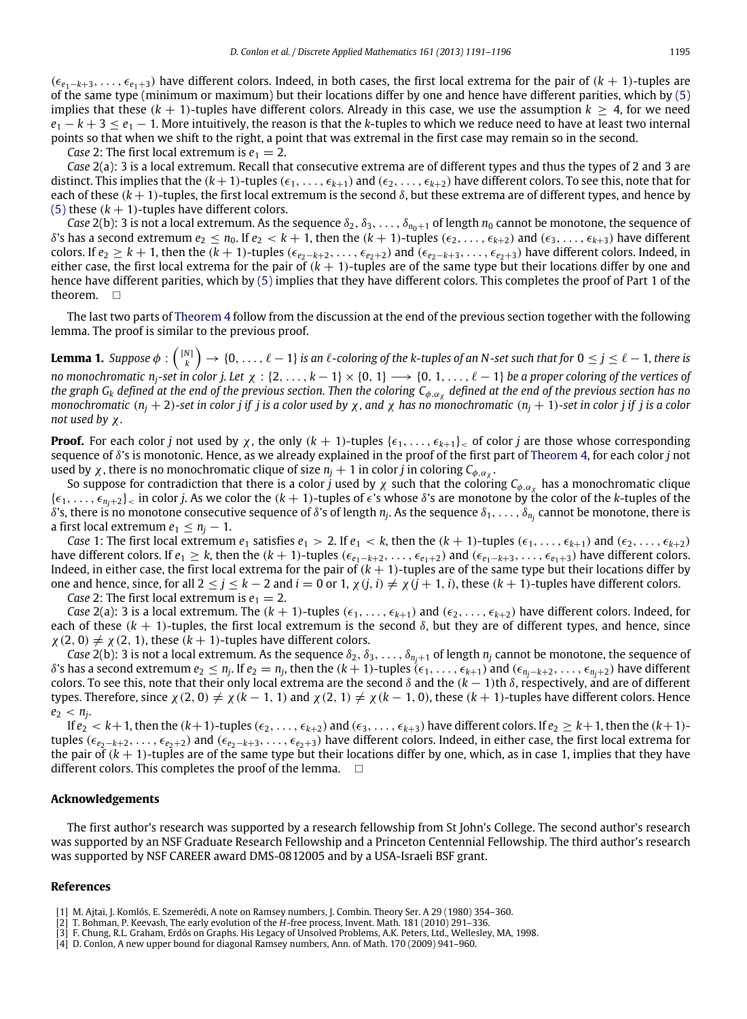(ϵ*<sup>e</sup>*1−*k*+3, . . . , ϵ*<sup>e</sup>*1+3) have different colors. Indeed, in both cases, the first local extrema for the pair of (*<sup>k</sup>* + <sup>1</sup>)-tuples are of the same type (minimum or maximum) but their locations differ by one and hence have different parities, which by [\(5\)](#page-3-0) implies that these  $(k + 1)$ -tuples have different colors. Already in this case, we use the assumption  $k \geq 4$ , for we need  $e_1 - k + 3 \leq e_1 - 1$ . More intuitively, the reason is that the *k*-tuples to which we reduce need to have at least two internal points so that when we shift to the right, a point that was extremal in the first case may remain so in the second.

*Case* 2: The first local extremum is  $e_1 = 2$ .

*Case* 2(a): 3 is a local extremum. Recall that consecutive extrema are of different types and thus the types of 2 and 3 are distinct. This implies that the  $(k+1)$ -tuples  $(\epsilon_1, \ldots, \epsilon_{k+1})$  and  $(\epsilon_2, \ldots, \epsilon_{k+2})$  have different colors. To see this, note that for each of these  $(k + 1)$ -tuples, the first local extremum is the second  $\delta$ , but these extrema are of different types, and hence by [\(5\)](#page-3-0) these  $(k + 1)$ -tuples have different colors.

*Case* 2(b): 3 is not a local extremum. As the sequence  $\delta_2, \delta_3, \ldots, \delta_{n_0+1}$  of length  $n_0$  cannot be monotone, the sequence of  $δ's$  has a second extremum  $e_2 \le n_0$ . If  $e_2 < k+1$ , then the  $(k+1)$ -tuples  $(\epsilon_2, \ldots, \epsilon_{k+2})$  and  $(\epsilon_3, \ldots, \epsilon_{k+3})$  have different colors. If  $e_2 \geq k+1$ , then the  $(k+1)$ -tuples  $(\epsilon_{e_2-k+2}, \ldots, \epsilon_{e_2+2})$  and  $(\epsilon_{e_2-k+3}, \ldots, \epsilon_{e_2+3})$  have different colors. Indeed, in either case, the first local extrema for the pair of  $(k + 1)$ -tuples are of the same type but their locations differ by one and hence have different parities, which by [\(5\)](#page-3-0) implies that they have different colors. This completes the proof of Part 1 of the theorem.  $\square$ 

The last two parts of [Theorem 4](#page-1-4) follow from the discussion at the end of the previous section together with the following lemma. The proof is similar to the previous proof.

Lemma 1. Suppose  $\phi: {[N] \choose k} \to \{0,\ldots,\ell-1\}$  is an  $\ell$ -coloring of the k-tuples of an N-set such that for  $0 \leq j \leq \ell-1$ , there is *no monochromatic nj-set in color j. Let* χ : {2, . . . , *k* − 1} × {0, 1} −→ {0, 1, . . . , ℓ − 1} *be a proper coloring of the vertices of the graph G<sup>k</sup> defined at the end of the previous section. Then the coloring C*φ,α<sup>χ</sup> *defined at the end of the previous section has no monochromatic* ( $n_j + 2$ )-set in color j if j is a color used by x, and x has no monochromatic ( $n_j + 1$ )-set in color j if j is a color *not used by* χ*.*

**Proof.** For each color *j* not used by  $\chi$ , the only  $(k + 1)$ -tuples  $\{\epsilon_1, \ldots, \epsilon_{k+1}\}$  of color *j* are those whose corresponding sequence of δ's is monotonic. Hence, as we already explained in the proof of the first part of [Theorem 4,](#page-1-4) for each color *j* not used by  $\chi$ , there is no monochromatic clique of size  $n_j + 1$  in color *j* in coloring  $C_{\phi, \alpha_\chi}$ .

So suppose for contradiction that there is a color *j* used by  $\chi$  such that the coloring  $C_{\phi,\alpha_\chi}$  has a monochromatic clique  $\{\epsilon_1, \ldots, \epsilon_{n_i+2}\}$  in color *j*. As we color the  $(k+1)$ -tuples of  $\epsilon$ 's whose  $\delta$ 's are monotone by the color of the *k*-tuples of the δ's, there is no monotone consecutive sequence of δ's of length  $n_j$ . As the sequence  $\delta_1,\ldots,\delta_{n_j}$  cannot be monotone, there is a first local extremum  $e_1 \leq n_j - 1$ .

*Case* 1: The first local extremum  $e_1$  satisfies  $e_1 > 2$ . If  $e_1 < k$ , then the  $(k + 1)$ -tuples  $(\epsilon_1, \ldots, \epsilon_{k+1})$  and  $(\epsilon_2, \ldots, \epsilon_{k+2})$ have different colors. If  $e_1 \geq k$ , then the  $(k + 1)$ -tuples  $(\epsilon_{e_1-k+2}, \ldots, \epsilon_{e_1+2})$  and  $(\epsilon_{e_1-k+3}, \ldots, \epsilon_{e_1+3})$  have different colors. Indeed, in either case, the first local extrema for the pair of  $(k + 1)$ -tuples are of the same type but their locations differ by one and hence, since, for all  $2 \le j \le k - 2$  and  $i = 0$  or  $1$ ,  $\chi(j, i) \neq \chi(j + 1, i)$ , these  $(k + 1)$ -tuples have different colors.

*Case* 2: The first local extremum is  $e_1 = 2$ .

*Case* 2(a): 3 is a local extremum. The  $(k + 1)$ -tuples  $(\epsilon_1, \ldots, \epsilon_{k+1})$  and  $(\epsilon_2, \ldots, \epsilon_{k+2})$  have different colors. Indeed, for each of these ( $k + 1$ )-tuples, the first local extremum is the second  $\delta$ , but they are of different types, and hence, since  $\chi$  (2, 0)  $\neq \chi$  (2, 1), these ( $k + 1$ )-tuples have different colors.

*Case* 2(b): 3 is not a local extremum. As the sequence  $\delta_2, \delta_3, \ldots, \delta_{n_i+1}$  of length  $n_j$  cannot be monotone, the sequence of  $\delta$ 's has a second extremum  $e_2\leq n_j$ . If  $e_2=n_j$ , then the  $(k+1)$ -tuples  $(\epsilon_1,\ldots,\epsilon_{k+1})$  and  $(\epsilon_{n_j-k+2},\ldots,\epsilon_{n_j+2})$  have different colors. To see this, note that their only local extrema are the second  $\delta$  and the  $(k - 1)$ th  $\delta$ , respectively, and are of different types. Therefore, since  $\chi(2, 0) \neq \chi(k - 1, 1)$  and  $\chi(2, 1) \neq \chi(k - 1, 0)$ , these  $(k + 1)$ -tuples have different colors. Hence  $e_2 < n_j$ .

If  $e_2 < k+1$ , then the  $(k+1)$ -tuples  $(\epsilon_2, \ldots, \epsilon_{k+2})$  and  $(\epsilon_3, \ldots, \epsilon_{k+3})$  have different colors. If  $e_2 \geq k+1$ , then the  $(k+1)$ tuples ( $\epsilon_{e_2-k+2}, \ldots, \epsilon_{e_2+2}$ ) and ( $\epsilon_{e_2-k+3}, \ldots, \epsilon_{e_2+3}$ ) have different colors. Indeed, in either case, the first local extrema for the pair of  $(k + 1)$ -tuples are of the same type but their locations differ by one, which, as in case 1, implies that they have different colors. This completes the proof of the lemma.  $\Box$ 

### **Acknowledgements**

The first author's research was supported by a research fellowship from St John's College. The second author's research was supported by an NSF Graduate Research Fellowship and a Princeton Centennial Fellowship. The third author's research was supported by NSF CAREER award DMS-0812005 and by a USA-Israeli BSF grant.

#### **References**

- <span id="page-4-3"></span>[2] T. Bohman, P. Keevash, The early evolution of the *H*-free process, Invent. Math. 181 (2010) 291–336.
- <span id="page-4-1"></span>[3] F. Chung, R.L. Graham, Erdős on Graphs. His Legacy of Unsolved Problems, A.K. Peters, Ltd., Wellesley, MA, 1998.

<span id="page-4-2"></span><sup>[1]</sup> M. Ajtai, J. Komlós, E. Szemerédi, A note on Ramsey numbers, J. Combin. Theory Ser. A 29 (1980) 354–360.

<span id="page-4-0"></span><sup>[4]</sup> D. Conlon, A new upper bound for diagonal Ramsey numbers, Ann. of Math. 170 (2009) 941–960.